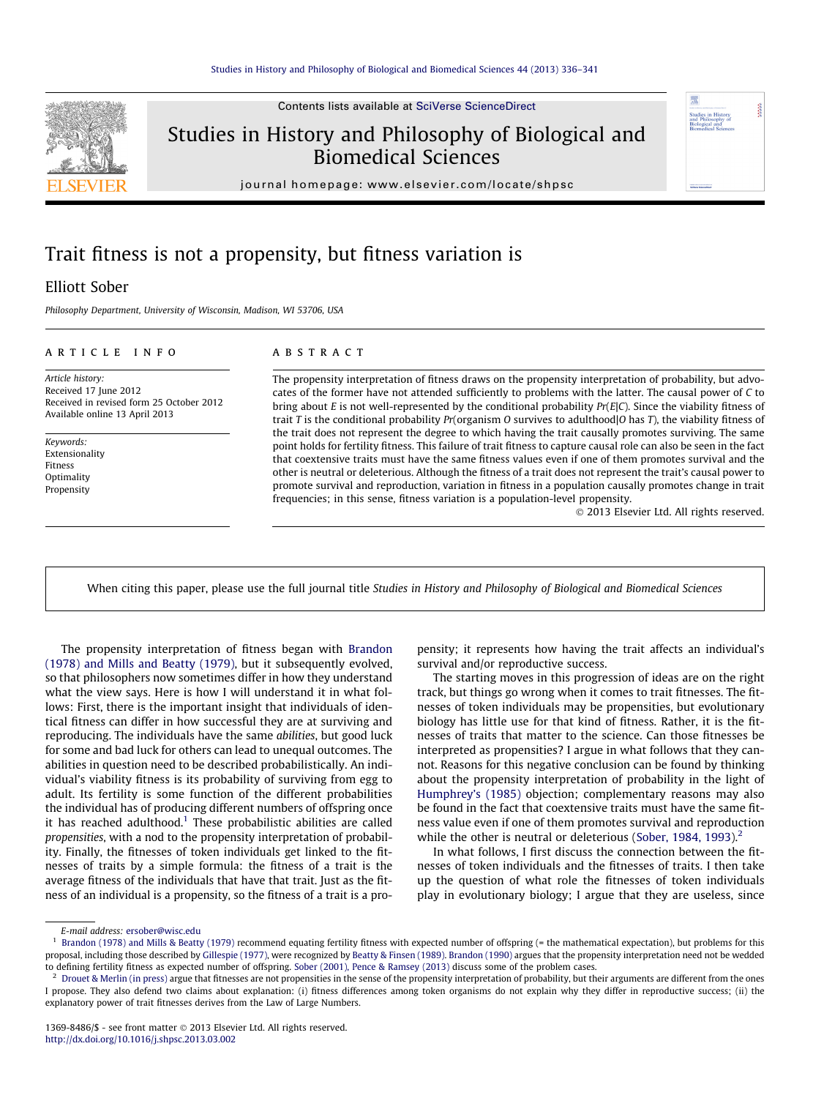

Contents lists available at [SciVerse ScienceDirect](http://www.sciencedirect.com/science/journal/13698486)

## Studies in History and Philosophy of Biological and Biomedical Sciences

journal homepage: [www.elsevier.com/locate/shpsc](http://www.elsevier.com/locate/shpsc)

# Trait fitness is not a propensity, but fitness variation is

### Elliott Sober

Philosophy Department, University of Wisconsin, Madison, WI 53706, USA

#### article info

Article history: Received 17 June 2012 Received in revised form 25 October 2012 Available online 13 April 2013

Keywords: Extensionality Fitness **Optimality** Propensity

#### **ABSTRACT**

The propensity interpretation of fitness draws on the propensity interpretation of probability, but advocates of the former have not attended sufficiently to problems with the latter. The causal power of C to bring about E is not well-represented by the conditional probability  $Pr(E|C)$ . Since the viability fitness of trait T is the conditional probability Pr(organism O survives to adulthood|O has T), the viability fitness of the trait does not represent the degree to which having the trait causally promotes surviving. The same point holds for fertility fitness. This failure of trait fitness to capture causal role can also be seen in the fact that coextensive traits must have the same fitness values even if one of them promotes survival and the other is neutral or deleterious. Although the fitness of a trait does not represent the trait's causal power to promote survival and reproduction, variation in fitness in a population causally promotes change in trait frequencies; in this sense, fitness variation is a population-level propensity.

- 2013 Elsevier Ltd. All rights reserved.

 $\frac{8}{8}$ 

When citing this paper, please use the full journal title Studies in History and Philosophy of Biological and Biomedical Sciences

The propensity interpretation of fitness began with [Brandon](#page-5-0) [\(1978\) and Mills and Beatty \(1979\),](#page-5-0) but it subsequently evolved, so that philosophers now sometimes differ in how they understand what the view says. Here is how I will understand it in what follows: First, there is the important insight that individuals of identical fitness can differ in how successful they are at surviving and reproducing. The individuals have the same abilities, but good luck for some and bad luck for others can lead to unequal outcomes. The abilities in question need to be described probabilistically. An individual's viability fitness is its probability of surviving from egg to adult. Its fertility is some function of the different probabilities the individual has of producing different numbers of offspring once it has reached adulthood.<sup>1</sup> These probabilistic abilities are called propensities, with a nod to the propensity interpretation of probability. Finally, the fitnesses of token individuals get linked to the fitnesses of traits by a simple formula: the fitness of a trait is the average fitness of the individuals that have that trait. Just as the fitness of an individual is a propensity, so the fitness of a trait is a propensity; it represents how having the trait affects an individual's survival and/or reproductive success.

The starting moves in this progression of ideas are on the right track, but things go wrong when it comes to trait fitnesses. The fitnesses of token individuals may be propensities, but evolutionary biology has little use for that kind of fitness. Rather, it is the fitnesses of traits that matter to the science. Can those fitnesses be interpreted as propensities? I argue in what follows that they cannot. Reasons for this negative conclusion can be found by thinking about the propensity interpretation of probability in the light of [Humphrey's \(1985\)](#page-5-0) objection; complementary reasons may also be found in the fact that coextensive traits must have the same fitness value even if one of them promotes survival and reproduction while the other is neutral or deleterious [\(Sober, 1984, 1993\)](#page-5-0).<sup>2</sup>

In what follows, I first discuss the connection between the fitnesses of token individuals and the fitnesses of traits. I then take up the question of what role the fitnesses of token individuals play in evolutionary biology; I argue that they are useless, since

E-mail address: [ersober@wisc.edu](mailto:ersober@wisc.edu)

[Brandon \(1978\) and Mills & Beatty \(1979\)](#page-5-0) recommend equating fertility fitness with expected number of offspring (= the mathematical expectation), but problems for this proposal, including those described by [Gillespie \(1977\)](#page-5-0), were recognized by [Beatty & Finsen \(1989\)](#page-5-0). [Brandon \(1990\)](#page-5-0) argues that the propensity interpretation need not be wedded to defining fertility fitness as expected number of offspring. [Sober \(2001\), Pence & Ramsey \(2013\)](#page-5-0) discuss some of the problem cases.

<sup>&</sup>lt;sup>2</sup> [Drouet & Merlin \(in press\)](#page-5-0) argue that fitnesses are not propensities in the sense of the propensity interpretation of probability, but their arguments are different from the ones I propose. They also defend two claims about explanation: (i) fitness differences among token organisms do not explain why they differ in reproductive success; (ii) the explanatory power of trait fitnesses derives from the Law of Large Numbers.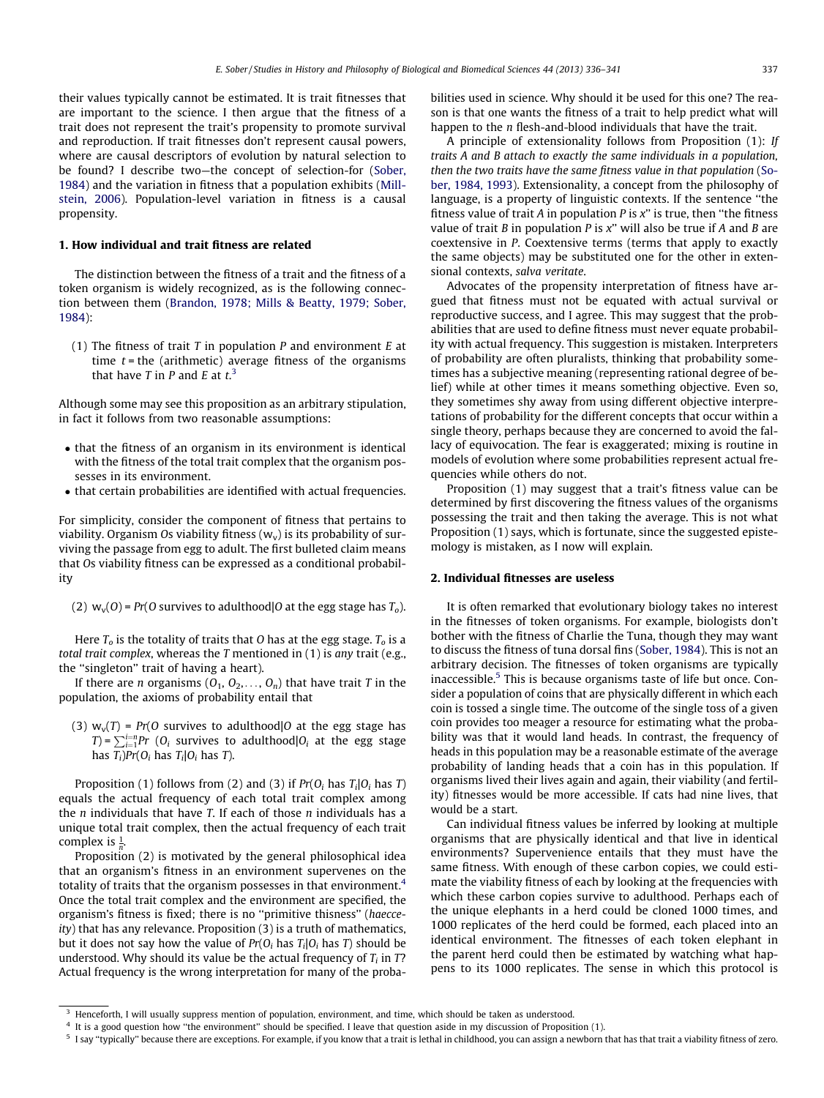their values typically cannot be estimated. It is trait fitnesses that are important to the science. I then argue that the fitness of a trait does not represent the trait's propensity to promote survival and reproduction. If trait fitnesses don't represent causal powers, where are causal descriptors of evolution by natural selection to be found? I describe two—the concept of selection-for ([Sober,](#page-5-0) [1984\)](#page-5-0) and the variation in fitness that a population exhibits [\(Mill](#page-5-0)[stein, 2006](#page-5-0)). Population-level variation in fitness is a causal propensity.

#### 1. How individual and trait fitness are related

The distinction between the fitness of a trait and the fitness of a token organism is widely recognized, as is the following connection between them ([Brandon, 1978; Mills & Beatty, 1979; Sober,](#page-5-0) [1984\)](#page-5-0):

(1) The fitness of trait T in population P and environment E at time  $t =$  the (arithmetic) average fitness of the organisms that have T in P and E at  $t.^3$ 

Although some may see this proposition as an arbitrary stipulation, in fact it follows from two reasonable assumptions:

- that the fitness of an organism in its environment is identical with the fitness of the total trait complex that the organism possesses in its environment.
- that certain probabilities are identified with actual frequencies.

For simplicity, consider the component of fitness that pertains to viability. Organism Os viability fitness  $(w_v)$  is its probability of surviving the passage from egg to adult. The first bulleted claim means that Os viability fitness can be expressed as a conditional probability

(2)  $W_v(0)$  = Pr(O survives to adulthood|O at the egg stage has  $T_o$ ).

Here  $T<sub>o</sub>$  is the totality of traits that O has at the egg stage.  $T<sub>o</sub>$  is a total trait complex, whereas the  $T$  mentioned in  $(1)$  is any trait (e.g., the ''singleton'' trait of having a heart).

If there are *n* organisms  $(0_1, 0_2, \ldots, 0_n)$  that have trait *T* in the population, the axioms of probability entail that

(3)  $w_v(T)$  = Pr(O survives to adulthood|O at the egg stage has  $T = \sum_{i=1}^{i=n} Pr$  (O<sub>i</sub> survives to adulthood|O<sub>i</sub> at the egg stage has  $T_i$ ) $Pr(O_i$  has  $T_i|O_i$  has  $T$ ).

Proposition (1) follows from (2) and (3) if  $Pr(O_i$  has  $T_i|O_i$  has T) equals the actual frequency of each total trait complex among the  $n$  individuals that have  $T$ . If each of those  $n$  individuals has a unique total trait complex, then the actual frequency of each trait complex is  $\frac{1}{n}$ .

Proposition (2) is motivated by the general philosophical idea that an organism's fitness in an environment supervenes on the totality of traits that the organism possesses in that environment.<sup>4</sup> Once the total trait complex and the environment are specified, the organism's fitness is fixed; there is no ''primitive thisness'' (haecceity) that has any relevance. Proposition (3) is a truth of mathematics, but it does not say how the value of  $Pr(O_i \text{ has } T_i|O_i \text{ has } T)$  should be understood. Why should its value be the actual frequency of  $T_i$  in  $T$ ? Actual frequency is the wrong interpretation for many of the probabilities used in science. Why should it be used for this one? The reason is that one wants the fitness of a trait to help predict what will happen to the *n* flesh-and-blood individuals that have the trait.

A principle of extensionality follows from Proposition (1): If traits A and B attach to exactly the same individuals in a population, then the two traits have the same fitness value in that population [\(So](#page-5-0)[ber, 1984, 1993\)](#page-5-0). Extensionality, a concept from the philosophy of language, is a property of linguistic contexts. If the sentence ''the fitness value of trait A in population  $P$  is  $x''$  is true, then "the fitness value of trait B in population P is  $x''$  will also be true if A and B are coextensive in P. Coextensive terms (terms that apply to exactly the same objects) may be substituted one for the other in extensional contexts, salva veritate.

Advocates of the propensity interpretation of fitness have argued that fitness must not be equated with actual survival or reproductive success, and I agree. This may suggest that the probabilities that are used to define fitness must never equate probability with actual frequency. This suggestion is mistaken. Interpreters of probability are often pluralists, thinking that probability sometimes has a subjective meaning (representing rational degree of belief) while at other times it means something objective. Even so, they sometimes shy away from using different objective interpretations of probability for the different concepts that occur within a single theory, perhaps because they are concerned to avoid the fallacy of equivocation. The fear is exaggerated; mixing is routine in models of evolution where some probabilities represent actual frequencies while others do not.

Proposition (1) may suggest that a trait's fitness value can be determined by first discovering the fitness values of the organisms possessing the trait and then taking the average. This is not what Proposition (1) says, which is fortunate, since the suggested epistemology is mistaken, as I now will explain.

#### 2. Individual fitnesses are useless

It is often remarked that evolutionary biology takes no interest in the fitnesses of token organisms. For example, biologists don't bother with the fitness of Charlie the Tuna, though they may want to discuss the fitness of tuna dorsal fins ([Sober, 1984\)](#page-5-0). This is not an arbitrary decision. The fitnesses of token organisms are typically inaccessible.<sup>5</sup> This is because organisms taste of life but once. Consider a population of coins that are physically different in which each coin is tossed a single time. The outcome of the single toss of a given coin provides too meager a resource for estimating what the probability was that it would land heads. In contrast, the frequency of heads in this population may be a reasonable estimate of the average probability of landing heads that a coin has in this population. If organisms lived their lives again and again, their viability (and fertility) fitnesses would be more accessible. If cats had nine lives, that would be a start.

Can individual fitness values be inferred by looking at multiple organisms that are physically identical and that live in identical environments? Supervenience entails that they must have the same fitness. With enough of these carbon copies, we could estimate the viability fitness of each by looking at the frequencies with which these carbon copies survive to adulthood. Perhaps each of the unique elephants in a herd could be cloned 1000 times, and 1000 replicates of the herd could be formed, each placed into an identical environment. The fitnesses of each token elephant in the parent herd could then be estimated by watching what happens to its 1000 replicates. The sense in which this protocol is

<sup>&</sup>lt;sup>3</sup> Henceforth, I will usually suppress mention of population, environment, and time, which should be taken as understood.

<sup>4</sup> It is a good question how ''the environment'' should be specified. I leave that question aside in my discussion of Proposition (1).

<sup>5</sup> I say ''typically'' because there are exceptions. For example, if you know that a trait is lethal in childhood, you can assign a newborn that has that trait a viability fitness of zero.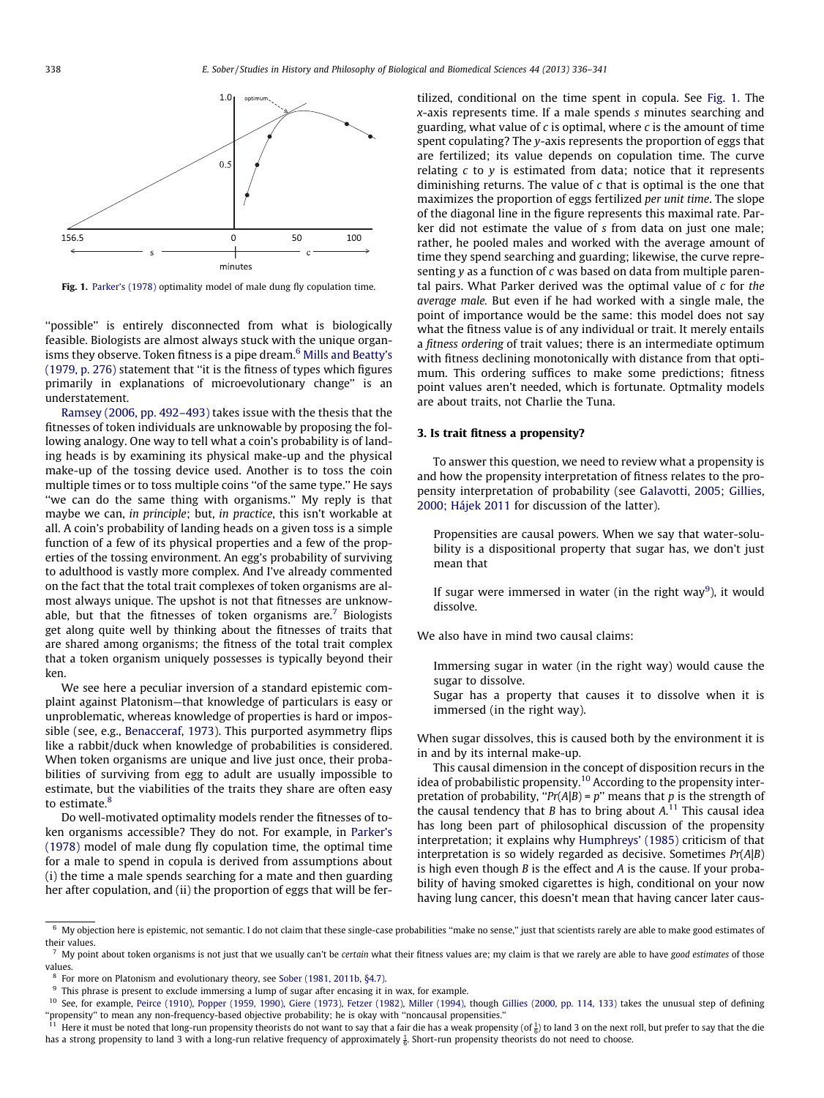

Fig. 1. [Parker's \(1978\)](#page-5-0) optimality model of male dung fly copulation time.

''possible'' is entirely disconnected from what is biologically feasible. Biologists are almost always stuck with the unique organ-isms they observe. Token fitness is a pipe dream.<sup>6</sup> [Mills and Beatty's](#page-5-0) [\(1979, p. 276\)](#page-5-0) statement that ''it is the fitness of types which figures primarily in explanations of microevolutionary change'' is an understatement.

[Ramsey \(2006, pp. 492–493\)](#page-5-0) takes issue with the thesis that the fitnesses of token individuals are unknowable by proposing the following analogy. One way to tell what a coin's probability is of landing heads is by examining its physical make-up and the physical make-up of the tossing device used. Another is to toss the coin multiple times or to toss multiple coins "of the same type." He says ''we can do the same thing with organisms.'' My reply is that maybe we can, in principle; but, in practice, this isn't workable at all. A coin's probability of landing heads on a given toss is a simple function of a few of its physical properties and a few of the properties of the tossing environment. An egg's probability of surviving to adulthood is vastly more complex. And I've already commented on the fact that the total trait complexes of token organisms are almost always unique. The upshot is not that fitnesses are unknowable, but that the fitnesses of token organisms are.<sup>7</sup> Biologists get along quite well by thinking about the fitnesses of traits that are shared among organisms; the fitness of the total trait complex that a token organism uniquely possesses is typically beyond their ken.

We see here a peculiar inversion of a standard epistemic complaint against Platonism—that knowledge of particulars is easy or unproblematic, whereas knowledge of properties is hard or impossible (see, e.g., [Benacceraf, 1973\)](#page-5-0). This purported asymmetry flips like a rabbit/duck when knowledge of probabilities is considered. When token organisms are unique and live just once, their probabilities of surviving from egg to adult are usually impossible to estimate, but the viabilities of the traits they share are often easy to estimate.<sup>8</sup>

Do well-motivated optimality models render the fitnesses of token organisms accessible? They do not. For example, in [Parker's](#page-5-0) [\(1978\)](#page-5-0) model of male dung fly copulation time, the optimal time for a male to spend in copula is derived from assumptions about (i) the time a male spends searching for a mate and then guarding her after copulation, and (ii) the proportion of eggs that will be fer-

tilized, conditional on the time spent in copula. See Fig. 1. The x-axis represents time. If a male spends s minutes searching and guarding, what value of  $c$  is optimal, where  $c$  is the amount of time spent copulating? The y-axis represents the proportion of eggs that are fertilized; its value depends on copulation time. The curve relating  $c$  to  $y$  is estimated from data; notice that it represents diminishing returns. The value of c that is optimal is the one that maximizes the proportion of eggs fertilized per unit time. The slope of the diagonal line in the figure represents this maximal rate. Parker did not estimate the value of s from data on just one male; rather, he pooled males and worked with the average amount of time they spend searching and guarding; likewise, the curve representing  $y$  as a function of  $c$  was based on data from multiple parental pairs. What Parker derived was the optimal value of  $c$  for the average male. But even if he had worked with a single male, the point of importance would be the same: this model does not say what the fitness value is of any individual or trait. It merely entails a fitness ordering of trait values; there is an intermediate optimum with fitness declining monotonically with distance from that optimum. This ordering suffices to make some predictions; fitness point values aren't needed, which is fortunate. Optmality models are about traits, not Charlie the Tuna.

#### 3. Is trait fitness a propensity?

To answer this question, we need to review what a propensity is and how the propensity interpretation of fitness relates to the propensity interpretation of probability (see [Galavotti, 2005; Gillies,](#page-5-0) [2000; Hájek 2011](#page-5-0) for discussion of the latter).

Propensities are causal powers. When we say that water-solubility is a dispositional property that sugar has, we don't just mean that

If sugar were immersed in water (in the right way<sup>9</sup>), it would dissolve.

We also have in mind two causal claims:

Immersing sugar in water (in the right way) would cause the sugar to dissolve.

Sugar has a property that causes it to dissolve when it is immersed (in the right way).

When sugar dissolves, this is caused both by the environment it is in and by its internal make-up.

This causal dimension in the concept of disposition recurs in the idea of probabilistic propensity.<sup>10</sup> According to the propensity interpretation of probability, " $Pr(A|B) = p$ " means that p is the strength of the causal tendency that B has to bring about  $A$ .<sup>11</sup> This causal idea has long been part of philosophical discussion of the propensity interpretation; it explains why [Humphreys' \(1985\)](#page-5-0) criticism of that interpretation is so widely regarded as decisive. Sometimes  $Pr(A|B)$ is high even though  $B$  is the effect and  $A$  is the cause. If your probability of having smoked cigarettes is high, conditional on your now having lung cancer, this doesn't mean that having cancer later caus-

 $^6$  My objection here is epistemic, not semantic. I do not claim that these single-case probabilities "make no sense," just that scientists rarely are able to make good estimates of their values.

 $7\,$  My point about token organisms is not just that we usually can't be certain what their fitness values are; my claim is that we rarely are able to have good estimates of those values.

<sup>8</sup> For more on Platonism and evolutionary theory, see [Sober \(1981, 2011b, §4.7\)](#page-5-0).

<sup>9</sup> This phrase is present to exclude immersing a lump of sugar after encasing it in wax, for example.

<sup>&</sup>lt;sup>10</sup> See, for example, [Peirce \(1910\), Popper \(1959, 1990\), Giere \(1973\), Fetzer \(1982\), Miller \(1994\)](#page-5-0), though [Gillies \(2000, pp. 114, 133\)](#page-5-0) takes the unusual step of defining ''propensity'' to mean any non-frequency-based objective probability; he is okay with ''noncausal propensities.''

 $^{11}$  Here it must be noted that long-run propensity theorists do not want to say that a fair die has a weak propensity (of  $_{6}^{1}$ ) to land 3 on the next roll, but prefer to say that the die has a strong propensity to land 3 with a long-run relative frequency of approximately  $\frac{1}{6}$ . Short-run propensity theorists do not need to choose.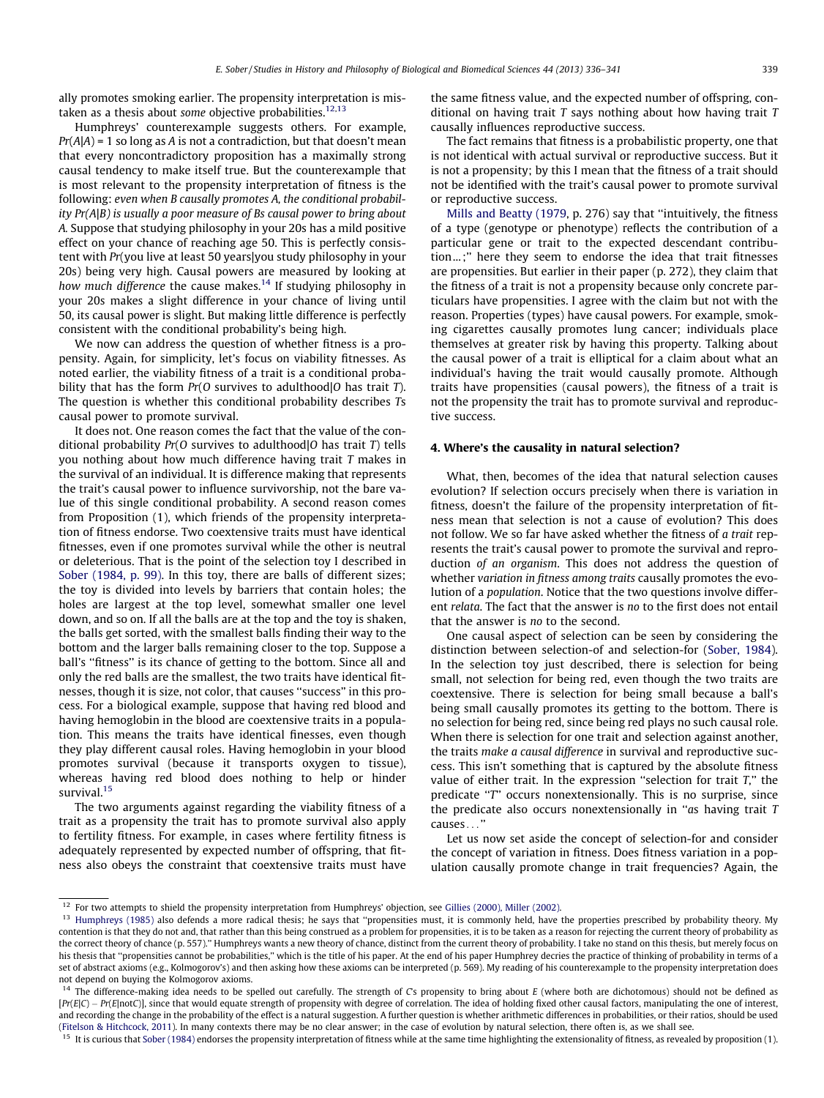<span id="page-3-0"></span>ally promotes smoking earlier. The propensity interpretation is mistaken as a thesis about some objective probabilities.<sup>12,13</sup>

Humphreys' counterexample suggests others. For example,  $Pr(A|A) = 1$  so long as A is not a contradiction, but that doesn't mean that every noncontradictory proposition has a maximally strong causal tendency to make itself true. But the counterexample that is most relevant to the propensity interpretation of fitness is the following: even when B causally promotes A, the conditional probability Pr(A|B) is usually a poor measure of Bs causal power to bring about A. Suppose that studying philosophy in your 20s has a mild positive effect on your chance of reaching age 50. This is perfectly consistent with Pr(you live at least 50 years|you study philosophy in your 20s) being very high. Causal powers are measured by looking at how much difference the cause makes.<sup>14</sup> If studying philosophy in your 20s makes a slight difference in your chance of living until 50, its causal power is slight. But making little difference is perfectly consistent with the conditional probability's being high.

We now can address the question of whether fitness is a propensity. Again, for simplicity, let's focus on viability fitnesses. As noted earlier, the viability fitness of a trait is a conditional probability that has the form  $Pr(O \text{ survives to adulthood}|O \text{ has trait } T)$ . The question is whether this conditional probability describes Ts causal power to promote survival.

It does not. One reason comes the fact that the value of the conditional probability  $Pr(O \text{ survives to adulthood} | O \text{ has trait } T)$  tells you nothing about how much difference having trait T makes in the survival of an individual. It is difference making that represents the trait's causal power to influence survivorship, not the bare value of this single conditional probability. A second reason comes from Proposition (1), which friends of the propensity interpretation of fitness endorse. Two coextensive traits must have identical fitnesses, even if one promotes survival while the other is neutral or deleterious. That is the point of the selection toy I described in [Sober \(1984, p. 99\).](#page-5-0) In this toy, there are balls of different sizes; the toy is divided into levels by barriers that contain holes; the holes are largest at the top level, somewhat smaller one level down, and so on. If all the balls are at the top and the toy is shaken, the balls get sorted, with the smallest balls finding their way to the bottom and the larger balls remaining closer to the top. Suppose a ball's ''fitness'' is its chance of getting to the bottom. Since all and only the red balls are the smallest, the two traits have identical fitnesses, though it is size, not color, that causes ''success'' in this process. For a biological example, suppose that having red blood and having hemoglobin in the blood are coextensive traits in a population. This means the traits have identical finesses, even though they play different causal roles. Having hemoglobin in your blood promotes survival (because it transports oxygen to tissue), whereas having red blood does nothing to help or hinder survival.<sup>15</sup>

The two arguments against regarding the viability fitness of a trait as a propensity the trait has to promote survival also apply to fertility fitness. For example, in cases where fertility fitness is adequately represented by expected number of offspring, that fitness also obeys the constraint that coextensive traits must have the same fitness value, and the expected number of offspring, conditional on having trait  $T$  says nothing about how having trait  $T$ causally influences reproductive success.

The fact remains that fitness is a probabilistic property, one that is not identical with actual survival or reproductive success. But it is not a propensity; by this I mean that the fitness of a trait should not be identified with the trait's causal power to promote survival or reproductive success.

[Mills and Beatty \(1979,](#page-5-0) p. 276) say that ''intuitively, the fitness of a type (genotype or phenotype) reflects the contribution of a particular gene or trait to the expected descendant contribution... ;'' here they seem to endorse the idea that trait fitnesses are propensities. But earlier in their paper (p. 272), they claim that the fitness of a trait is not a propensity because only concrete particulars have propensities. I agree with the claim but not with the reason. Properties (types) have causal powers. For example, smoking cigarettes causally promotes lung cancer; individuals place themselves at greater risk by having this property. Talking about the causal power of a trait is elliptical for a claim about what an individual's having the trait would causally promote. Although traits have propensities (causal powers), the fitness of a trait is not the propensity the trait has to promote survival and reproductive success.

#### 4. Where's the causality in natural selection?

What, then, becomes of the idea that natural selection causes evolution? If selection occurs precisely when there is variation in fitness, doesn't the failure of the propensity interpretation of fitness mean that selection is not a cause of evolution? This does not follow. We so far have asked whether the fitness of a trait represents the trait's causal power to promote the survival and reproduction of an organism. This does not address the question of whether variation in fitness among traits causally promotes the evolution of a population. Notice that the two questions involve different relata. The fact that the answer is no to the first does not entail that the answer is no to the second.

One causal aspect of selection can be seen by considering the distinction between selection-of and selection-for ([Sober, 1984\)](#page-5-0). In the selection toy just described, there is selection for being small, not selection for being red, even though the two traits are coextensive. There is selection for being small because a ball's being small causally promotes its getting to the bottom. There is no selection for being red, since being red plays no such causal role. When there is selection for one trait and selection against another, the traits make a causal difference in survival and reproductive success. This isn't something that is captured by the absolute fitness value of either trait. In the expression "selection for trait  $T$ ," the predicate "T" occurs nonextensionally. This is no surprise, since the predicate also occurs nonextensionally in " $as$  having trait  $T$ causes ...''

Let us now set aside the concept of selection-for and consider the concept of variation in fitness. Does fitness variation in a population causally promote change in trait frequencies? Again, the

 $\frac{12}{12}$  For two attempts to shield the propensity interpretation from Humphreys' objection, see [Gillies \(2000\), Miller \(2002\).](#page-5-0)

<sup>&</sup>lt;sup>13</sup> [Humphreys \(1985\)](#page-5-0) also defends a more radical thesis; he says that "propensities must, it is commonly held, have the properties prescribed by probability theory. My contention is that they do not and, that rather than this being construed as a problem for propensities, it is to be taken as a reason for rejecting the current theory of probability as the correct theory of chance (p. 557)." Humphreys wants a new theory of chance, distinct from the current theory of probability. I take no stand on this thesis, but merely focus on his thesis that "propensities cannot be probabilities," which is the title of his paper. At the end of his paper Humphrey decries the practice of thinking of probability in terms of a set of abstract axioms (e.g., Kolmogorov's) and then asking how these axioms can be interpreted (p. 569). My reading of his counterexample to the propensity interpretation does not depend on buying the Kolmogorov axioms.

 $14$  The difference-making idea needs to be spelled out carefully. The strength of Cs propensity to bring about E (where both are dichotomous) should not be defined as [ $Pr(E|C) - Pr(E|notC)$ ], since that would equate strength of propensity with degree of correlation. The idea of holding fixed other causal factors, manipulating the one of interest, and recording the change in the probability of the effect is a natural suggestion. A further question is whether arithmetic differences in probabilities, or their ratios, should be used ([Fitelson & Hitchcock, 2011](#page-5-0)). In many contexts there may be no clear answer; in the case of evolution by natural selection, there often is, as we shall see.

<sup>&</sup>lt;sup>15</sup> It is curious that [Sober \(1984\)](#page-5-0) endorses the propensity interpretation of fitness while at the same time highlighting the extensionality of fitness, as revealed by proposition (1).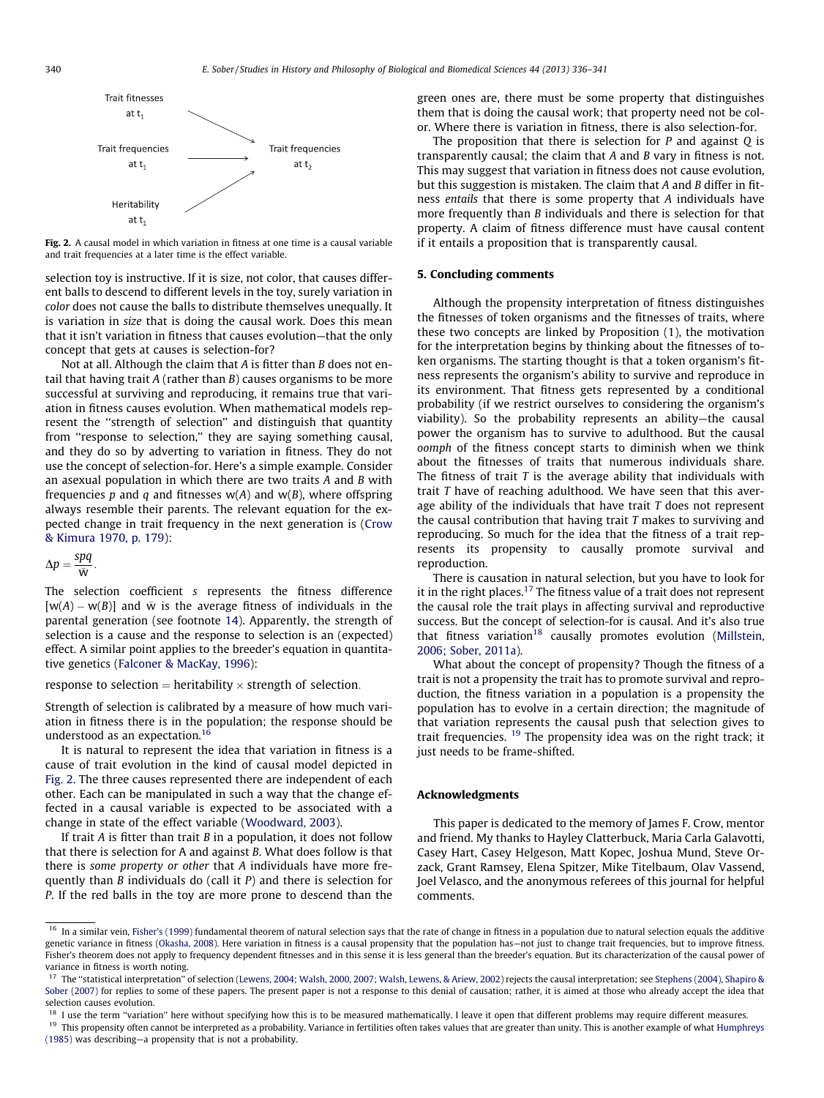

Fig. 2. A causal model in which variation in fitness at one time is a causal variable and trait frequencies at a later time is the effect variable.

selection toy is instructive. If it is size, not color, that causes different balls to descend to different levels in the toy, surely variation in color does not cause the balls to distribute themselves unequally. It is variation in size that is doing the causal work. Does this mean that it isn't variation in fitness that causes evolution—that the only concept that gets at causes is selection-for?

Not at all. Although the claim that A is fitter than B does not entail that having trait  $A$  (rather than  $B$ ) causes organisms to be more successful at surviving and reproducing, it remains true that variation in fitness causes evolution. When mathematical models represent the ''strength of selection'' and distinguish that quantity from "response to selection," they are saying something causal, and they do so by adverting to variation in fitness. They do not use the concept of selection-for. Here's a simple example. Consider an asexual population in which there are two traits A and B with frequencies p and q and fitnesses  $w(A)$  and  $w(B)$ , where offspring always resemble their parents. The relevant equation for the expected change in trait frequency in the next generation is ([Crow](#page-5-0) [& Kimura 1970, p. 179\)](#page-5-0):

$$
\Delta p = \frac{spq}{\bar{w}}.
$$

The selection coefficient s represents the fitness difference  $[w(A) - w(B)]$  and  $\overline{w}$  is the average fitness of individuals in the parental generation (see footnote [14](#page-3-0)). Apparently, the strength of selection is a cause and the response to selection is an (expected) effect. A similar point applies to the breeder's equation in quantitative genetics ([Falconer & MacKay, 1996\)](#page-5-0):

response to selection  $=$  heritability  $\times$  strength of selection.

Strength of selection is calibrated by a measure of how much variation in fitness there is in the population; the response should be understood as an expectation.<sup>16</sup>

It is natural to represent the idea that variation in fitness is a cause of trait evolution in the kind of causal model depicted in Fig. 2. The three causes represented there are independent of each other. Each can be manipulated in such a way that the change effected in a causal variable is expected to be associated with a change in state of the effect variable [\(Woodward, 2003\)](#page-5-0).

If trait  $A$  is fitter than trait  $B$  in a population, it does not follow that there is selection for A and against B. What does follow is that there is some property or other that A individuals have more frequently than  $B$  individuals do (call it  $P$ ) and there is selection for P. If the red balls in the toy are more prone to descend than the green ones are, there must be some property that distinguishes them that is doing the causal work; that property need not be color. Where there is variation in fitness, there is also selection-for.

The proposition that there is selection for  $P$  and against  $Q$  is transparently causal; the claim that A and B vary in fitness is not. This may suggest that variation in fitness does not cause evolution, but this suggestion is mistaken. The claim that A and B differ in fitness entails that there is some property that A individuals have more frequently than B individuals and there is selection for that property. A claim of fitness difference must have causal content if it entails a proposition that is transparently causal.

#### 5. Concluding comments

Although the propensity interpretation of fitness distinguishes the fitnesses of token organisms and the fitnesses of traits, where these two concepts are linked by Proposition (1), the motivation for the interpretation begins by thinking about the fitnesses of token organisms. The starting thought is that a token organism's fitness represents the organism's ability to survive and reproduce in its environment. That fitness gets represented by a conditional probability (if we restrict ourselves to considering the organism's viability). So the probability represents an ability—the causal power the organism has to survive to adulthood. But the causal oomph of the fitness concept starts to diminish when we think about the fitnesses of traits that numerous individuals share. The fitness of trait  $T$  is the average ability that individuals with trait  $T$  have of reaching adulthood. We have seen that this average ability of the individuals that have trait  $T$  does not represent the causal contribution that having trait T makes to surviving and reproducing. So much for the idea that the fitness of a trait represents its propensity to causally promote survival and reproduction.

There is causation in natural selection, but you have to look for it in the right places.<sup>17</sup> The fitness value of a trait does not represent the causal role the trait plays in affecting survival and reproductive success. But the concept of selection-for is causal. And it's also true that fitness variation<sup>18</sup> causally promotes evolution [\(Millstein,](#page-5-0) [2006; Sober, 2011a](#page-5-0)).

What about the concept of propensity? Though the fitness of a trait is not a propensity the trait has to promote survival and reproduction, the fitness variation in a population is a propensity the population has to evolve in a certain direction; the magnitude of that variation represents the causal push that selection gives to trait frequencies.  $19$  The propensity idea was on the right track; it just needs to be frame-shifted.

#### Acknowledgments

This paper is dedicated to the memory of James F. Crow, mentor and friend. My thanks to Hayley Clatterbuck, Maria Carla Galavotti, Casey Hart, Casey Helgeson, Matt Kopec, Joshua Mund, Steve Orzack, Grant Ramsey, Elena Spitzer, Mike Titelbaum, Olav Vassend, Joel Velasco, and the anonymous referees of this journal for helpful comments.

<sup>19</sup> This propensity often cannot be interpreted as a probability. Variance in fertilities often takes values that are greater than unity. This is another example of what [Humphreys](#page-5-0) [\(1985\)](#page-5-0) was describing—a propensity that is not a probability.

<sup>&</sup>lt;sup>16</sup> In a similar vein, [Fisher's \(1999\)](#page-5-0) fundamental theorem of natural selection says that the rate of change in fitness in a population due to natural selection equals the additive genetic variance in fitness ([Okasha, 2008\)](#page-5-0). Here variation in fitness is a causal propensity that the population has—not just to change trait frequencies, but to improve fitness. Fisher's theorem does not apply to frequency dependent fitnesses and in this sense it is less general than the breeder's equation. But its characterization of the causal power of variance in fitness is worth noting.

<sup>&</sup>lt;sup>17</sup> The "statistical interpretation" of selection ([Lewens, 2004; Walsh, 2000, 2007; Walsh, Lewens, & Ariew, 2002\)](#page-5-0) rejects the causal interpretation; see [Stephens \(2004\), Shapiro &](#page-5-0) [Sober \(2007\)](#page-5-0) for replies to some of these papers. The present paper is not a response to this denial of causation; rather, it is aimed at those who already accept the idea that selection causes evolution.

<sup>&</sup>lt;sup>18</sup> I use the term "variation" here without specifying how this is to be measured mathematically. I leave it open that different problems may require different measures.